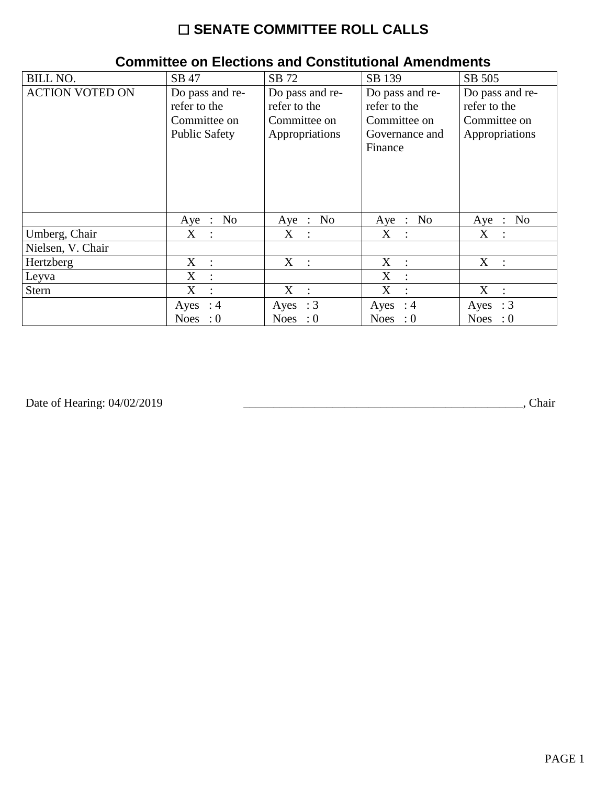# ☐ **SENATE COMMITTEE ROLL CALLS**

| <b>BILL NO.</b>        | SB 47                                                                   | SB 72                                                             | SB 139                                                                       | SB 505                                                            |
|------------------------|-------------------------------------------------------------------------|-------------------------------------------------------------------|------------------------------------------------------------------------------|-------------------------------------------------------------------|
| <b>ACTION VOTED ON</b> | Do pass and re-<br>refer to the<br>Committee on<br><b>Public Safety</b> | Do pass and re-<br>refer to the<br>Committee on<br>Appropriations | Do pass and re-<br>refer to the<br>Committee on<br>Governance and<br>Finance | Do pass and re-<br>refer to the<br>Committee on<br>Appropriations |
|                        | No<br>$Aye$ :                                                           | Aye : No                                                          | Aye : No                                                                     | Aye : No                                                          |
| Umberg, Chair          | $X_{\mathcal{C}}$<br>$\mathbb{R}^2$                                     | X :                                                               | $X_{\mathcal{C}}$<br>$\mathbb{R}^2$                                          | X :                                                               |
| Nielsen, V. Chair      |                                                                         |                                                                   |                                                                              |                                                                   |
| Hertzberg              | $X_{-}$<br>$\cdot$ :                                                    | $X_{\mathcal{I}}$<br>$\sim$ 1.                                    | X<br>$\cdot$ :                                                               | X<br>$\sim$ 10 $\pm$                                              |
| Leyva                  | X<br>$\ddot{\cdot}$                                                     |                                                                   | X                                                                            |                                                                   |
| Stern                  | X<br>$\ddot{\cdot}$                                                     | X<br>$\ddot{\cdot}$                                               | X                                                                            | X<br>$\mathbf{L}$                                                 |
|                        | Ayes : $4$                                                              | Ayes : $3$                                                        | Ayes : $4$                                                                   | $\therefore$ 3<br>Ayes                                            |
|                        | $\cdot 0$<br><b>Noes</b>                                                | Noes : $0$                                                        | Noes : $0$                                                                   | <b>Noes</b><br>$\therefore 0$                                     |

### **Committee on Elections and Constitutional Amendments**

Date of Hearing: 04/02/2019

Date of Hearing: 04/02/2019 \_\_\_\_\_\_\_\_\_\_\_\_\_\_\_\_\_\_\_\_\_\_\_\_\_\_\_\_\_\_\_\_\_\_\_\_\_\_\_\_\_\_\_\_\_\_\_, Chair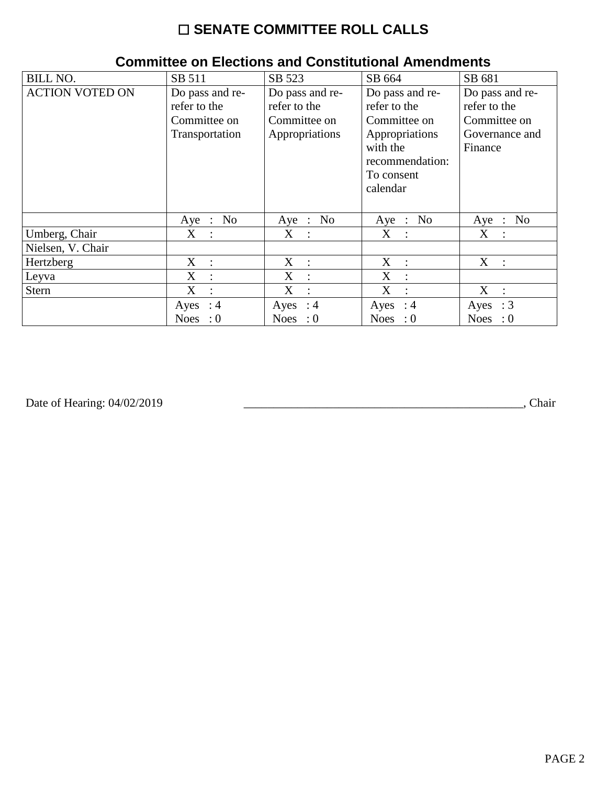# ☐ **SENATE COMMITTEE ROLL CALLS**

| <b>BILL NO.</b>        | SB 511                                                            | SB 523                                                            | SB 664                                                                                                                     | SB 681                                                                       |
|------------------------|-------------------------------------------------------------------|-------------------------------------------------------------------|----------------------------------------------------------------------------------------------------------------------------|------------------------------------------------------------------------------|
| <b>ACTION VOTED ON</b> | Do pass and re-<br>refer to the<br>Committee on<br>Transportation | Do pass and re-<br>refer to the<br>Committee on<br>Appropriations | Do pass and re-<br>refer to the<br>Committee on<br>Appropriations<br>with the<br>recommendation:<br>To consent<br>calendar | Do pass and re-<br>refer to the<br>Committee on<br>Governance and<br>Finance |
|                        | No<br>Aye :                                                       | Aye : No                                                          | Aye : No                                                                                                                   | No<br>$Aye$ :                                                                |
| Umberg, Chair          | $X_{-}$<br>$\sim$ 1.                                              | X :                                                               | X<br>$\mathbb{R}^2$                                                                                                        | X :                                                                          |
| Nielsen, V. Chair      |                                                                   |                                                                   |                                                                                                                            |                                                                              |
| Hertzberg              | $X_{-}$<br>$\ddot{\phantom{1}}$                                   | X<br>$\mathbb{R}^2$                                               | X<br>$\cdot$ :                                                                                                             | X :                                                                          |
| Leyva                  | X<br>$\ddot{\cdot}$                                               | X<br>$\ddot{\cdot}$                                               | X                                                                                                                          |                                                                              |
| <b>Stern</b>           | X<br>$\ddot{\cdot}$                                               | X<br>$\ddot{\cdot}$                                               | X                                                                                                                          | X                                                                            |
|                        | Ayes : $4$                                                        | Ayes : $4$                                                        | Ayes : $4$                                                                                                                 | $\therefore$ 3<br>Ayes                                                       |
|                        | Noes : $0$                                                        | Noes : $0$                                                        | Noes : $0$                                                                                                                 | <b>Noes</b><br>$\cdot 0$                                                     |

#### **Committee on Elections and Constitutional Amendments**

Date of Hearing: 04/02/2019

Date of Hearing: 04/02/2019 \_\_\_\_\_\_\_\_\_\_\_\_\_\_\_\_\_\_\_\_\_\_\_\_\_\_\_\_\_\_\_\_\_\_\_\_\_\_\_\_\_\_\_\_\_\_\_, Chair